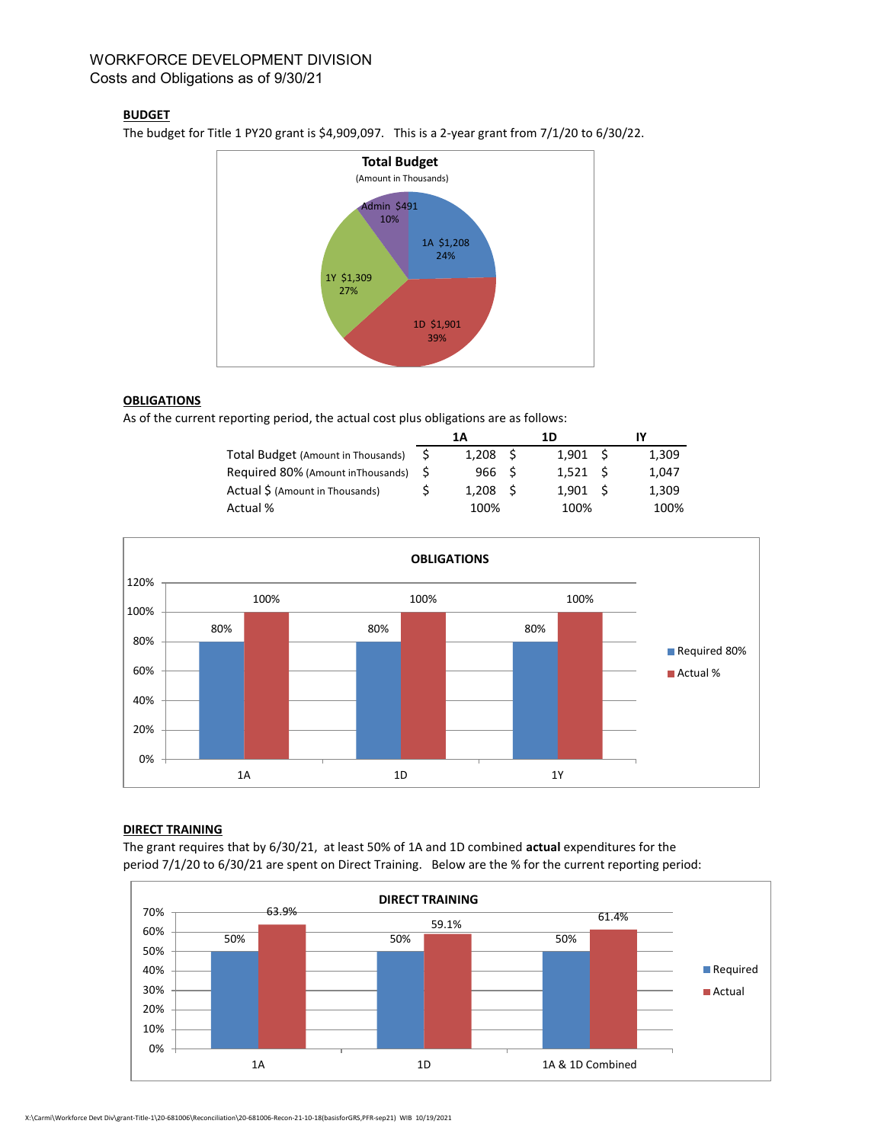## WORKFORCE DEVELOPMENT DIVISION Costs and Obligations as of 9/30/21

### **BUDGET**

The budget for Title 1 PY20 grant is \$4,909,097. This is a 2-year grant from 7/1/20 to 6/30/22.



#### **OBLIGATIONS**

As of the current reporting period, the actual cost plus obligations are as follows:

|                                       | 1Α |                  | 1D  |                  |  |       |
|---------------------------------------|----|------------------|-----|------------------|--|-------|
| Total Budget (Amount in Thousands)    |    | 1.208            | - S | $1.901 \quad$ \$ |  | 1.309 |
| Required 80% (Amount in Thousands) \$ |    | 966 <sup>5</sup> |     | $1.521 \quad$ \$ |  | 1.047 |
| Actual \$ (Amount in Thousands)       |    | 1.208            | - 5 | $1.901 \quad$ \$ |  | 1,309 |
| Actual %                              |    | 100%             |     | 100%             |  | 100%  |



#### DIRECT TRAINING

The grant requires that by 6/30/21, at least 50% of 1A and 1D combined actual expenditures for the period 7/1/20 to 6/30/21 are spent on Direct Training. Below are the % for the current reporting period: